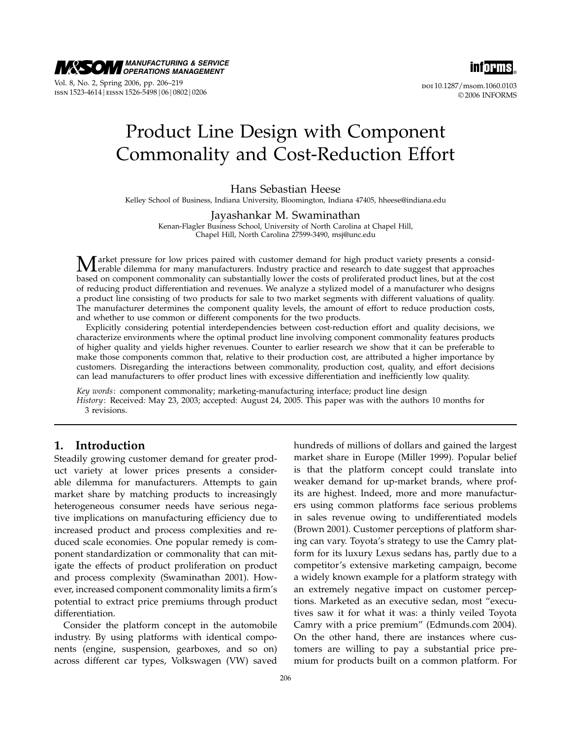

Vol. 8, No. 2, Spring 2006, pp. 206–219 issn1523-4614 eissn1526-5498 06 0802 0206



doi 10.1287/msom.1060.0103 © 2006 INFORMS

# Product Line Design with Component Commonality and Cost-Reduction Effort

## Hans Sebastian Heese

Kelley School of Business, Indiana University, Bloomington, Indiana 47405, hheese@indiana.edu

#### Jayashankar M. Swaminathan

Kenan-Flagler Business School, University of North Carolina at Chapel Hill, Chapel Hill, North Carolina 27599-3490, msj@unc.edu

Market pressure for low prices paired with customer demand for high product variety presents a consid-<br>erable dilemma for many manufacturers. Industry practice and research to date suggest that approaches<br>hased on componen based on component commonality can substantially lower the costs of proliferated product lines, but at the cost of reducing product differentiation and revenues. We analyze a stylized model of a manufacturer who designs a product line consisting of two products for sale to two market segments with different valuations of quality. The manufacturer determines the component quality levels, the amount of effort to reduce production costs, and whether to use common or different components for the two products.

Explicitly considering potential interdependencies between cost-reduction effort and quality decisions, we characterize environments where the optimal product line involving component commonality features products of higher quality and yields higher revenues. Counter to earlier research we show that it can be preferable to make those components common that, relative to their production cost, are attributed a higher importance by customers. Disregarding the interactions between commonality, production cost, quality, and effort decisions can lead manufacturers to offer product lines with excessive differentiation and inefficiently low quality.

Key words: component commonality; marketing-manufacturing interface; product line design History: Received: May 23, 2003; accepted: August 24, 2005. This paper was with the authors 10 months for 3 revisions.

## 1. Introduction

Steadily growing customer demand for greater product variety at lower prices presents a considerable dilemma for manufacturers. Attempts to gain market share by matching products to increasingly heterogeneous consumer needs have serious negative implications on manufacturing efficiency due to increased product and process complexities and reduced scale economies. One popular remedy is component standardization or commonality that can mitigate the effects of product proliferation on product and process complexity (Swaminathan 2001). However, increased component commonality limits a firm's potential to extract price premiums through product differentiation.

Consider the platform concept in the automobile industry. By using platforms with identical components (engine, suspension, gearboxes, and so on) across different car types, Volkswagen (VW) saved

hundreds of millions of dollars and gained the largest market share in Europe (Miller 1999). Popular belief is that the platform concept could translate into weaker demand for up-market brands, where profits are highest. Indeed, more and more manufacturers using common platforms face serious problems in sales revenue owing to undifferentiated models (Brown 2001). Customer perceptions of platform sharing can vary. Toyota's strategy to use the Camry platform for its luxury Lexus sedans has, partly due to a competitor's extensive marketing campaign, become a widely known example for a platform strategy with an extremely negative impact on customer perceptions. Marketed as an executive sedan, most "executives saw it for what it was: a thinly veiled Toyota Camry with a price premium" (Edmunds.com 2004). On the other hand, there are instances where customers are willing to pay a substantial price premium for products built on a common platform. For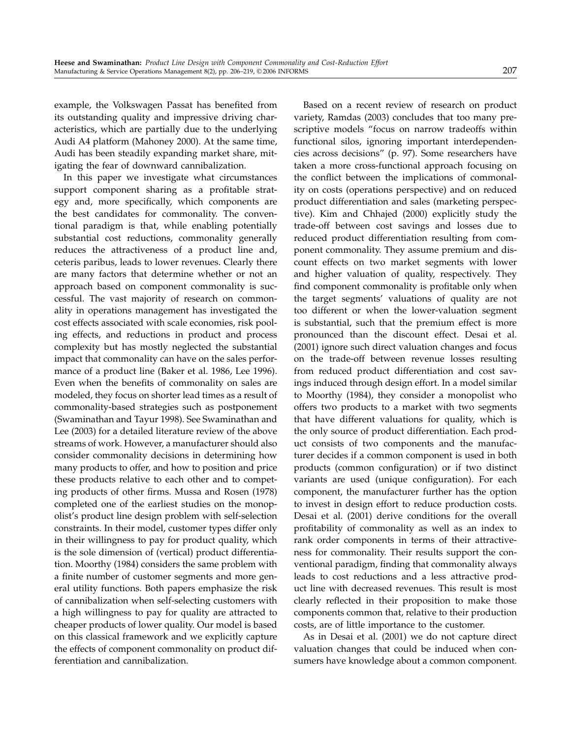example, the Volkswagen Passat has benefited from its outstanding quality and impressive driving characteristics, which are partially due to the underlying Audi A4 platform (Mahoney 2000). At the same time, Audi has been steadily expanding market share, mitigating the fear of downward cannibalization.

In this paper we investigate what circumstances support component sharing as a profitable strategy and, more specifically, which components are the best candidates for commonality. The conventional paradigm is that, while enabling potentially substantial cost reductions, commonality generally reduces the attractiveness of a product line and, ceteris paribus, leads to lower revenues. Clearly there are many factors that determine whether or not an approach based on component commonality is successful. The vast majority of research on commonality in operations management has investigated the cost effects associated with scale economies, risk pooling effects, and reductions in product and process complexity but has mostly neglected the substantial impact that commonality can have on the sales performance of a product line (Baker et al. 1986, Lee 1996). Even when the benefits of commonality on sales are modeled, they focus on shorter lead times as a result of commonality-based strategies such as postponement (Swaminathan and Tayur 1998). See Swaminathan and Lee (2003) for a detailed literature review of the above streams of work. However, a manufacturer should also consider commonality decisions in determining how many products to offer, and how to position and price these products relative to each other and to competing products of other firms. Mussa and Rosen (1978) completed one of the earliest studies on the monopolist's product line design problem with self-selection constraints. In their model, customer types differ only in their willingness to pay for product quality, which is the sole dimension of (vertical) product differentiation. Moorthy (1984) considers the same problem with a finite number of customer segments and more general utility functions. Both papers emphasize the risk of cannibalization when self-selecting customers with a high willingness to pay for quality are attracted to cheaper products of lower quality. Our model is based on this classical framework and we explicitly capture the effects of component commonality on product differentiation and cannibalization.

Based on a recent review of research on product variety, Ramdas (2003) concludes that too many prescriptive models "focus on narrow tradeoffs within functional silos, ignoring important interdependencies across decisions" (p. 97). Some researchers have taken a more cross-functional approach focusing on the conflict between the implications of commonality on costs (operations perspective) and on reduced product differentiation and sales (marketing perspective). Kim and Chhajed (2000) explicitly study the trade-off between cost savings and losses due to reduced product differentiation resulting from component commonality. They assume premium and discount effects on two market segments with lower and higher valuation of quality, respectively. They find component commonality is profitable only when the target segments' valuations of quality are not too different or when the lower-valuation segment is substantial, such that the premium effect is more pronounced than the discount effect. Desai et al. (2001) ignore such direct valuation changes and focus on the trade-off between revenue losses resulting from reduced product differentiation and cost savings induced through design effort. In a model similar to Moorthy (1984), they consider a monopolist who offers two products to a market with two segments that have different valuations for quality, which is the only source of product differentiation. Each product consists of two components and the manufacturer decides if a common component is used in both products (common configuration) or if two distinct variants are used (unique configuration). For each component, the manufacturer further has the option to invest in design effort to reduce production costs. Desai et al. (2001) derive conditions for the overall profitability of commonality as well as an index to rank order components in terms of their attractiveness for commonality. Their results support the conventional paradigm, finding that commonality always leads to cost reductions and a less attractive product line with decreased revenues. This result is most clearly reflected in their proposition to make those components common that, relative to their production costs, are of little importance to the customer.

As in Desai et al. (2001) we do not capture direct valuation changes that could be induced when consumers have knowledge about a common component.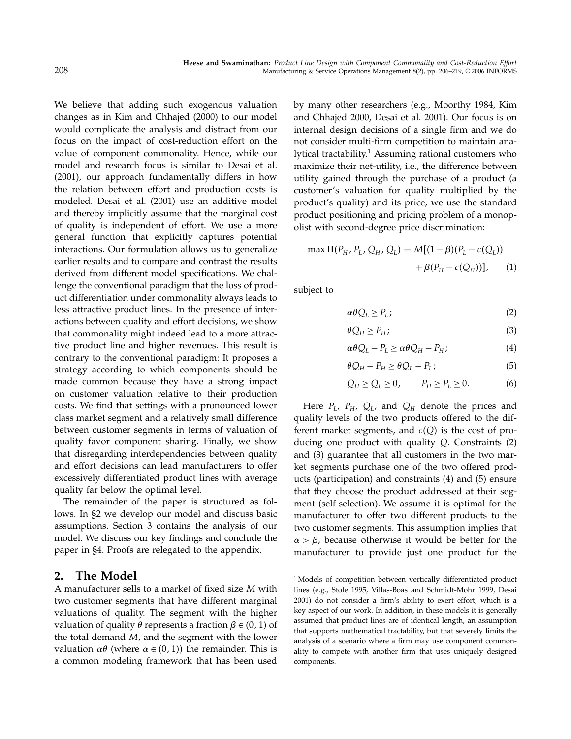We believe that adding such exogenous valuation changes as in Kim and Chhajed (2000) to our model would complicate the analysis and distract from our focus on the impact of cost-reduction effort on the value of component commonality. Hence, while our model and research focus is similar to Desai et al. (2001), our approach fundamentally differs in how the relation between effort and production costs is modeled. Desai et al. (2001) use an additive model and thereby implicitly assume that the marginal cost of quality is independent of effort. We use a more general function that explicitly captures potential interactions. Our formulation allows us to generalize earlier results and to compare and contrast the results derived from different model specifications. We challenge the conventional paradigm that the loss of product differentiation under commonality always leads to less attractive product lines. In the presence of interactions between quality and effort decisions, we show that commonality might indeed lead to a more attractive product line and higher revenues. This result is contrary to the conventional paradigm: It proposes a strategy according to which components should be made common because they have a strong impact on customer valuation relative to their production costs. We find that settings with a pronounced lower class market segment and a relatively small difference between customer segments in terms of valuation of quality favor component sharing. Finally, we show that disregarding interdependencies between quality and effort decisions can lead manufacturers to offer excessively differentiated product lines with average quality far below the optimal level.

The remainder of the paper is structured as follows. In §2 we develop our model and discuss basic assumptions. Section 3 contains the analysis of our model. We discuss our key findings and conclude the paper in §4. Proofs are relegated to the appendix.

# 2. The Model

A manufacturer sells to a market of fixed size M with two customer segments that have different marginal valuations of quality. The segment with the higher valuation of quality  $\theta$  represents a fraction  $\beta \in (0,1)$  of the total demand M, and the segment with the lower valuation  $\alpha\theta$  (where  $\alpha \in (0, 1)$ ) the remainder. This is a common modeling framework that has been used

by many other researchers (e.g., Moorthy 1984, Kim and Chhajed 2000, Desai et al. 2001). Our focus is on internal design decisions of a single firm and we do not consider multi-firm competition to maintain analytical tractability.<sup>1</sup> Assuming rational customers who maximize their net-utility, i.e., the difference between utility gained through the purchase of a product (a customer's valuation for quality multiplied by the product's quality) and its price, we use the standard product positioning and pricing problem of a monopolist with second-degree price discrimination:

max 
$$
\Pi(P_H, P_L, Q_H, Q_L) = M[(1 - \beta)(P_L - c(Q_L))
$$
  
  $+ \beta(P_H - c(Q_H))],$  (1)

subject to

$$
\alpha \theta Q_L \ge P_L; \tag{2}
$$

$$
\theta Q_H \ge P_H; \tag{3}
$$

$$
\alpha \theta Q_L - P_L \ge \alpha \theta Q_H - P_H; \tag{4}
$$

$$
\theta Q_H - P_H \ge \theta Q_L - P_L; \tag{5}
$$

$$
Q_H \ge Q_L \ge 0, \qquad P_H \ge P_L \ge 0. \tag{6}
$$

Here  $P_L$ ,  $P_H$ ,  $Q_L$ , and  $Q_H$  denote the prices and quality levels of the two products offered to the different market segments, and  $c(Q)$  is the cost of producing one product with quality Q. Constraints (2) and (3) guarantee that all customers in the two market segments purchase one of the two offered products (participation) and constraints (4) and (5) ensure that they choose the product addressed at their segment (self-selection). We assume it is optimal for the manufacturer to offer two different products to the two customer segments. This assumption implies that  $\alpha > \beta$ , because otherwise it would be better for the manufacturer to provide just one product for the

<sup>1</sup> Models of competition between vertically differentiated product lines (e.g., Stole 1995, Villas-Boas and Schmidt-Mohr 1999, Desai 2001) do not consider a firm's ability to exert effort, which is a key aspect of our work. In addition, in these models it is generally assumed that product lines are of identical length, an assumption that supports mathematical tractability, but that severely limits the analysis of a scenario where a firm may use component commonality to compete with another firm that uses uniquely designed components.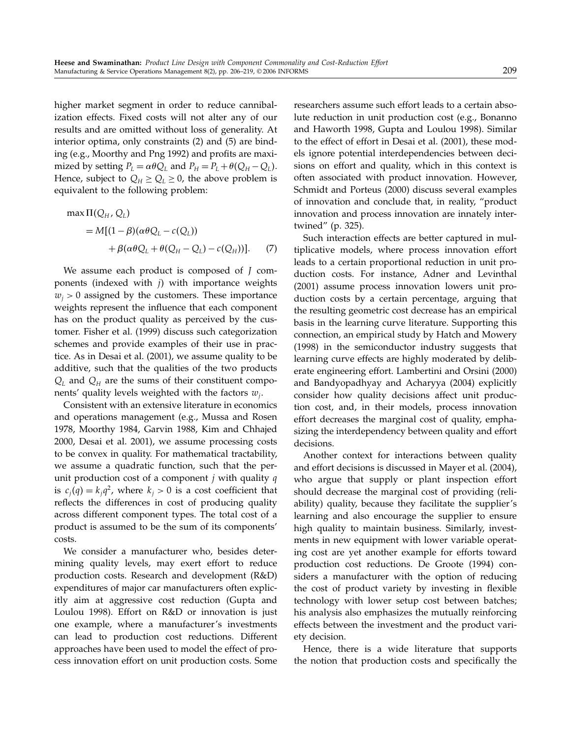higher market segment in order to reduce cannibalization effects. Fixed costs will not alter any of our results and are omitted without loss of generality. At interior optima, only constraints (2) and (5) are binding (e.g., Moorthy and Png 1992) and profits are maximized by setting  $P_L = \alpha \theta Q_L$  and  $P_H = P_L + \theta (Q_H - Q_L)$ . Hence, subject to  $Q_H \ge Q_L \ge 0$ , the above problem is equivalent to the following problem:

$$
\max \Pi(Q_H, Q_L)
$$
  
=  $M[(1 - \beta)(\alpha \theta Q_L - c(Q_L))$   
+  $\beta(\alpha \theta Q_L + \theta(Q_H - Q_L) - c(Q_H))]$ . (7)

We assume each product is composed of  $J$  components (indexed with  $j$ ) with importance weights  $w_i > 0$  assigned by the customers. These importance weights represent the influence that each component has on the product quality as perceived by the customer. Fisher et al. (1999) discuss such categorization schemes and provide examples of their use in practice. As in Desai et al. (2001), we assume quality to be additive, such that the qualities of the two products  $Q_L$  and  $Q_H$  are the sums of their constituent components' quality levels weighted with the factors  $w_i$ .

Consistent with an extensive literature in economics and operations management (e.g., Mussa and Rosen 1978, Moorthy 1984, Garvin 1988, Kim and Chhajed 2000, Desai et al. 2001), we assume processing costs to be convex in quality. For mathematical tractability, we assume a quadratic function, such that the perunit production cost of a component  $j$  with quality  $q$ is  $c_i(q) = k_i q^2$ , where  $k_i > 0$  is a cost coefficient that reflects the differences in cost of producing quality across different component types. The total cost of a product is assumed to be the sum of its components' costs.

We consider a manufacturer who, besides determining quality levels, may exert effort to reduce production costs. Research and development (R&D) expenditures of major car manufacturers often explicitly aim at aggressive cost reduction (Gupta and Loulou 1998). Effort on R&D or innovation is just one example, where a manufacturer's investments can lead to production cost reductions. Different approaches have been used to model the effect of process innovation effort on unit production costs. Some researchers assume such effort leads to a certain absolute reduction in unit production cost (e.g., Bonanno and Haworth 1998, Gupta and Loulou 1998). Similar to the effect of effort in Desai et al. (2001), these models ignore potential interdependencies between decisions on effort and quality, which in this context is often associated with product innovation. However, Schmidt and Porteus (2000) discuss several examples of innovation and conclude that, in reality, "product innovation and process innovation are innately intertwined" (p. 325).

Such interaction effects are better captured in multiplicative models, where process innovation effort leads to a certain proportional reduction in unit production costs. For instance, Adner and Levinthal (2001) assume process innovation lowers unit production costs by a certain percentage, arguing that the resulting geometric cost decrease has an empirical basis in the learning curve literature. Supporting this connection, an empirical study by Hatch and Mowery (1998) in the semiconductor industry suggests that learning curve effects are highly moderated by deliberate engineering effort. Lambertini and Orsini (2000) and Bandyopadhyay and Acharyya (2004) explicitly consider how quality decisions affect unit production cost, and, in their models, process innovation effort decreases the marginal cost of quality, emphasizing the interdependency between quality and effort decisions.

Another context for interactions between quality and effort decisions is discussed in Mayer et al. (2004), who argue that supply or plant inspection effort should decrease the marginal cost of providing (reliability) quality, because they facilitate the supplier's learning and also encourage the supplier to ensure high quality to maintain business. Similarly, investments in new equipment with lower variable operating cost are yet another example for efforts toward production cost reductions. De Groote (1994) considers a manufacturer with the option of reducing the cost of product variety by investing in flexible technology with lower setup cost between batches; his analysis also emphasizes the mutually reinforcing effects between the investment and the product variety decision.

Hence, there is a wide literature that supports the notion that production costs and specifically the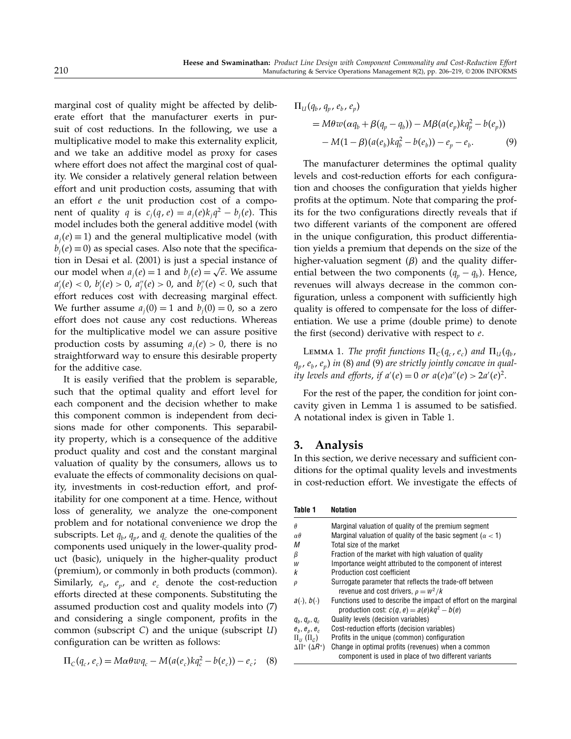marginal cost of quality might be affected by deliberate effort that the manufacturer exerts in pursuit of cost reductions. In the following, we use a multiplicative model to make this externality explicit, and we take an additive model as proxy for cases where effort does not affect the marginal cost of quality. We consider a relatively general relation between effort and unit production costs, assuming that with an effort  $e$  the unit production cost of a component of quality q is  $c_i(q, e) = a_i(e)k_iq^2 - b_i(e)$ . This model includes both the general additive model (with  $a_i(e) \equiv 1$ ) and the general multiplicative model (with  $b_i(e) \equiv 0$ ) as special cases. Also note that the specification in Desai et al. (2001) is just a special instance of our model when  $a_i(e) = 1$  and  $b_i(e) = \sqrt{e}$ . We assume  $a'_{j}(e) < 0$ ,  $b'_{j}(e) > 0$ ,  $a''_{j}(e) > 0$ , and  $b''_{j}(e) < 0$ , such that effort reduces cost with decreasing marginal effect. We further assume  $a_i(0) = 1$  and  $b_i(0) = 0$ , so a zero effort does not cause any cost reductions. Whereas for the multiplicative model we can assure positive production costs by assuming  $a_i(e) > 0$ , there is no straightforward way to ensure this desirable property for the additive case.

It is easily verified that the problem is separable, such that the optimal quality and effort level for each component and the decision whether to make this component common is independent from decisions made for other components. This separability property, which is a consequence of the additive product quality and cost and the constant marginal valuation of quality by the consumers, allows us to evaluate the effects of commonality decisions on quality, investments in cost-reduction effort, and profitability for one component at a time. Hence, without loss of generality, we analyze the one-component problem and for notational convenience we drop the subscripts. Let  $q_b$ ,  $q_p$ , and  $q_c$  denote the qualities of the components used uniquely in the lower-quality product (basic), uniquely in the higher-quality product (premium), or commonly in both products (common). Similarly,  $e_b$ ,  $e_v$ , and  $e_c$  denote the cost-reduction efforts directed at these components. Substituting the assumed production cost and quality models into (7) and considering a single component, profits in the common (subscript  $C$ ) and the unique (subscript  $U$ ) configuration can be written as follows:

$$
\Pi_C(q_c, e_c) = M\alpha\theta w q_c - M(a(e_c)kq_c^2 - b(e_c)) - e_c; \quad (8)
$$

$$
\Pi_{U}(q_b, q_p, e_b, e_p) = M\theta w(\alpha q_b + \beta(q_p - q_b)) - M\beta(a(e_p)kq_p^2 - b(e_p)) - M(1 - \beta)(a(e_b)kq_b^2 - b(e_b)) - e_p - e_b.
$$
\n(9)

The manufacturer determines the optimal quality levels and cost-reduction efforts for each configuration and chooses the configuration that yields higher profits at the optimum. Note that comparing the profits for the two configurations directly reveals that if two different variants of the component are offered in the unique configuration, this product differentiation yields a premium that depends on the size of the higher-valuation segment  $(\beta)$  and the quality differential between the two components  $(q_p - q_b)$ . Hence, revenues will always decrease in the common configuration, unless a component with sufficiently high quality is offered to compensate for the loss of differentiation. We use a prime (double prime) to denote the first (second) derivative with respect to  $e$ .

LEMMA 1. The profit functions  $\Pi_C(q_c, e_c)$  and  $\Pi_U(q_b, e_c)$  $q_p$ ,  $e_b$ ,  $e_p$ ) in (8) and (9) are strictly jointly concave in quality levels and efforts, if  $a'(e) = 0$  or  $a(e)a''(e) > 2a'(e)^2$ .

For the rest of the paper, the condition for joint concavity given in Lemma 1 is assumed to be satisfied. A notational index is given in Table 1.

## 3. Analysis

In this section, we derive necessary and sufficient conditions for the optimal quality levels and investments in cost-reduction effort. We investigate the effects of

| Ĥ                              | Marginal valuation of quality of the premium segment               |
|--------------------------------|--------------------------------------------------------------------|
| $\alpha\theta$                 | Marginal valuation of quality of the basic segment ( $\alpha$ < 1) |
| М                              | Total size of the market                                           |
| β                              | Fraction of the market with high valuation of quality              |
| W                              | Importance weight attributed to the component of interest          |
| k                              | Production cost coefficient                                        |
| ρ                              | Surrogate parameter that reflects the trade-off between            |
|                                | revenue and cost drivers, $\rho = w^2/k$                           |
| $a(\cdot), b(\cdot)$           | Functions used to describe the impact of effort on the marginal    |
|                                | production cost: $c(q, e) = a(e)kq^2 - b(e)$                       |
| $q_b, q_p, q_c$                | Quality levels (decision variables)                                |
| $e_b, e_p, e_c$                | Cost-reduction efforts (decision variables)                        |
| $\Pi_{\mu}(\Pi_{c})$           | Profits in the unique (common) configuration                       |
| $\Delta\Pi^*$ ( $\Delta R^*$ ) | Change in optimal profits (revenues) when a common                 |
|                                | component is used in place of two different variants               |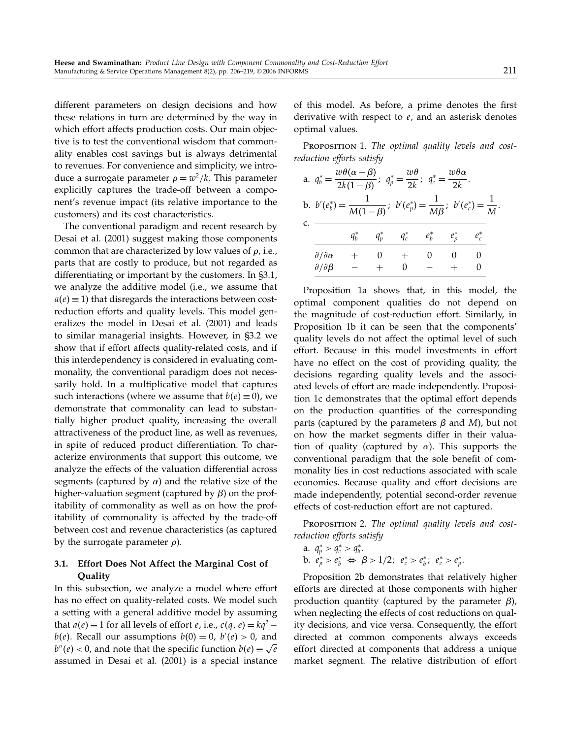different parameters on design decisions and how these relations in turn are determined by the way in which effort affects production costs. Our main objective is to test the conventional wisdom that commonality enables cost savings but is always detrimental to revenues. For convenience and simplicity, we introduce a surrogate parameter  $\rho = w^2/k$ . This parameter explicitly captures the trade-off between a component's revenue impact (its relative importance to the customers) and its cost characteristics.

The conventional paradigm and recent research by Desai et al. (2001) suggest making those components common that are characterized by low values of  $\rho$ , i.e., parts that are costly to produce, but not regarded as differentiating or important by the customers. In §3.1, we analyze the additive model (i.e., we assume that  $a(e) \equiv 1$ ) that disregards the interactions between costreduction efforts and quality levels. This model generalizes the model in Desai et al. (2001) and leads to similar managerial insights. However, in §3.2 we show that if effort affects quality-related costs, and if this interdependency is considered in evaluating commonality, the conventional paradigm does not necessarily hold. In a multiplicative model that captures such interactions (where we assume that  $b(e) \equiv 0$ ), we demonstrate that commonality can lead to substantially higher product quality, increasing the overall attractiveness of the product line, as well as revenues, in spite of reduced product differentiation. To characterize environments that support this outcome, we analyze the effects of the valuation differential across segments (captured by  $\alpha$ ) and the relative size of the higher-valuation segment (captured by  $\beta$ ) on the profitability of commonality as well as on how the profitability of commonality is affected by the trade-off between cost and revenue characteristics (as captured by the surrogate parameter  $\rho$ ).

## 3.1. Effort Does Not Affect the Marginal Cost of Quality

In this subsection, we analyze a model where effort has no effect on quality-related costs. We model such a setting with a general additive model by assuming that  $a(e) \equiv 1$  for all levels of effort *e*, i.e.,  $c(q, e) = kq^2$  $b(e)$ . Recall our assumptions  $b(0) = 0$ ,  $b'(e) > 0$ , and  $b''(e) < 0$ , and note that the specific function  $b(e) \equiv \sqrt{e}$ assumed in Desai et al. (2001) is a special instance

of this model. As before, a prime denotes the first derivative with respect to  $e$ , and an asterisk denotes optimal values.

PROPOSITION 1. The optimal quality levels and costreduction efforts satisfy

| a. $q_b^* = \frac{w\theta(\alpha - \beta)}{2k(1 - \beta)}$ ; $q_p^* = \frac{w\theta}{2k}$ ; $q_c^* = \frac{w\theta\alpha}{2k}$ |         |         |         |         |         |  |
|--------------------------------------------------------------------------------------------------------------------------------|---------|---------|---------|---------|---------|--|
| b. $b'(e_b^*) = \frac{1}{M(1-\beta)}$ ; $b'(e_p^*) = \frac{1}{M\beta}$ ; $b'(e_c^*) = \frac{1}{M}$ .                           |         |         |         |         |         |  |
|                                                                                                                                |         |         |         |         |         |  |
|                                                                                                                                | $q_b^*$ | $q_v^*$ | $q_c^*$ | $e_b^*$ | $e_p^*$ |  |
| $\partial/\partial\alpha$                                                                                                      |         |         |         |         |         |  |
| $\partial/\partial\beta$                                                                                                       |         |         |         |         |         |  |

Proposition 1a shows that, in this model, the optimal component qualities do not depend on the magnitude of cost-reduction effort. Similarly, in Proposition 1b it can be seen that the components' quality levels do not affect the optimal level of such effort. Because in this model investments in effort have no effect on the cost of providing quality, the decisions regarding quality levels and the associated levels of effort are made independently. Proposition 1c demonstrates that the optimal effort depends on the production quantities of the corresponding parts (captured by the parameters  $\beta$  and M), but not on how the market segments differ in their valuation of quality (captured by  $\alpha$ ). This supports the conventional paradigm that the sole benefit of commonality lies in cost reductions associated with scale economies. Because quality and effort decisions are made independently, potential second-order revenue effects of cost-reduction effort are not captured.

PROPOSITION 2. The optimal quality levels and costreduction efforts satisfy

a.  $q_p^* > q_c^* > q_b^*$ . b.  $e_p^* > e_b^* \Leftrightarrow \beta > 1/2; e_c^* > e_b^*; e_c^* > e_p^*.$ 

Proposition 2b demonstrates that relatively higher efforts are directed at those components with higher production quantity (captured by the parameter  $\beta$ ), when neglecting the effects of cost reductions on quality decisions, and vice versa. Consequently, the effort directed at common components always exceeds effort directed at components that address a unique market segment. The relative distribution of effort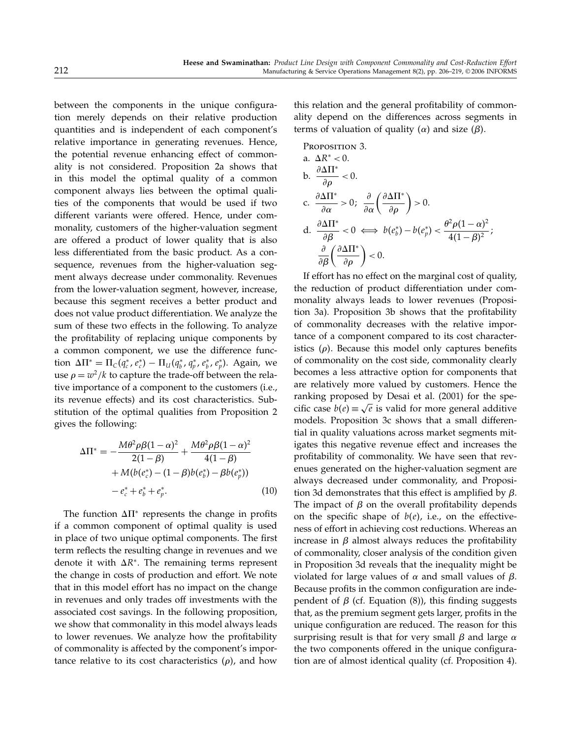between the components in the unique configuration merely depends on their relative production quantities and is independent of each component's relative importance in generating revenues. Hence, the potential revenue enhancing effect of commonality is not considered. Proposition 2a shows that in this model the optimal quality of a common component always lies between the optimal qualities of the components that would be used if two different variants were offered. Hence, under commonality, customers of the higher-valuation segment are offered a product of lower quality that is also less differentiated from the basic product. As a consequence, revenues from the higher-valuation segment always decrease under commonality. Revenues from the lower-valuation segment, however, increase, because this segment receives a better product and does not value product differentiation. We analyze the sum of these two effects in the following. To analyze the profitability of replacing unique components by a common component, we use the difference function  $\Delta \Pi^* = \Pi_C(q_c^*, e_c^*) - \Pi_U(q_b^*, q_p^*, e_b^*, e_p^*)$ . Again, we use  $\rho = w^2/k$  to capture the trade-off between the relative importance of a component to the customers (i.e., its revenue effects) and its cost characteristics. Substitution of the optimal qualities from Proposition 2 gives the following:

$$
\Delta \Pi^* = -\frac{M\theta^2 \rho \beta (1 - \alpha)^2}{2(1 - \beta)} + \frac{M\theta^2 \rho \beta (1 - \alpha)^2}{4(1 - \beta)} + M(b(e_c^*) - (1 - \beta)b(e_b^*) - \beta b(e_p^*)) - e_c^* + e_b^* + e_p^*.
$$
 (10)

The function  $\Delta \Pi^*$  represents the change in profits if a common component of optimal quality is used in place of two unique optimal components. The first term reflects the resulting change in revenues and we denote it with  $\Delta R^*$ . The remaining terms represent the change in costs of production and effort. We note that in this model effort has no impact on the change in revenues and only trades off investments with the associated cost savings. In the following proposition, we show that commonality in this model always leads to lower revenues. We analyze how the profitability of commonality is affected by the component's importance relative to its cost characteristics  $(\rho)$ , and how

this relation and the general profitability of commonality depend on the differences across segments in terms of valuation of quality  $(\alpha)$  and size  $(\beta)$ .

PROPOSITION 3.  
\na. 
$$
\Delta R^* < 0
$$
.  
\nb.  $\frac{\partial \Delta \Pi^*}{\partial \rho} < 0$ .  
\nc.  $\frac{\partial \Delta \Pi^*}{\partial \alpha} > 0$ ;  $\frac{\partial}{\partial \alpha} \left( \frac{\partial \Delta \Pi^*}{\partial \rho} \right) > 0$ .  
\nd.  $\frac{\partial \Delta \Pi^*}{\partial \beta} < 0 \iff b(e_b^*) - b(e_p^*) < \frac{\theta^2 \rho (1 - \alpha)^2}{4(1 - \beta)^2}$ ;  $\frac{\partial}{\partial \beta} \left( \frac{\partial \Delta \Pi^*}{\partial \rho} \right) < 0$ .

If effort has no effect on the marginal cost of quality, the reduction of product differentiation under commonality always leads to lower revenues (Proposition 3a). Proposition 3b shows that the profitability of commonality decreases with the relative importance of a component compared to its cost characteristics  $(\rho)$ . Because this model only captures benefits of commonality on the cost side, commonality clearly becomes a less attractive option for components that are relatively more valued by customers. Hence the ranking proposed by Desai et al. (2001) for the specific case  $b(e) \equiv \sqrt{e}$  is valid for more general additive models. Proposition 3c shows that a small differential in quality valuations across market segments mitigates this negative revenue effect and increases the profitability of commonality. We have seen that revenues generated on the higher-valuation segment are always decreased under commonality, and Proposition 3d demonstrates that this effect is amplified by  $\beta$ . The impact of  $\beta$  on the overall profitability depends on the specific shape of  $b(e)$ , i.e., on the effectiveness of effort in achieving cost reductions. Whereas an increase in  $\beta$  almost always reduces the profitability of commonality, closer analysis of the condition given in Proposition 3d reveals that the inequality might be violated for large values of  $\alpha$  and small values of  $\beta$ . Because profits in the common configuration are independent of  $\beta$  (cf. Equation (8)), this finding suggests that, as the premium segment gets larger, profits in the unique configuration are reduced. The reason for this surprising result is that for very small  $\beta$  and large  $\alpha$ the two components offered in the unique configuration are of almost identical quality (cf. Proposition 4).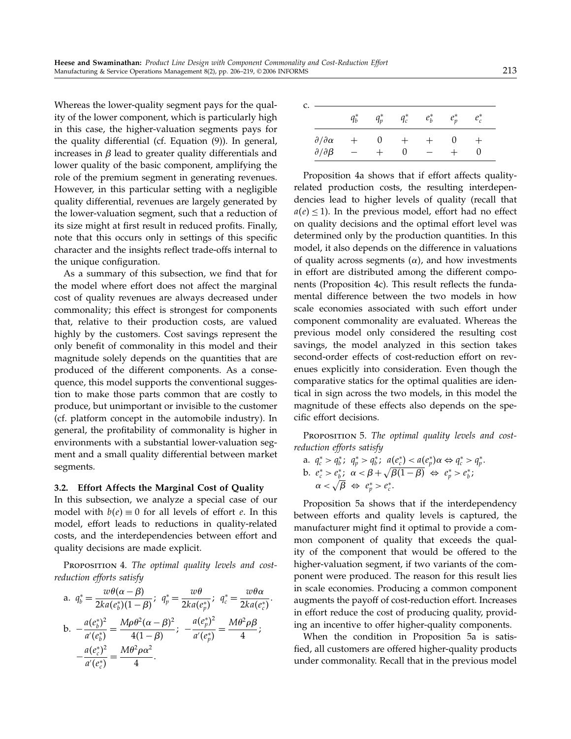c.

Whereas the lower-quality segment pays for the quality of the lower component, which is particularly high in this case, the higher-valuation segments pays for the quality differential (cf. Equation (9)). In general, increases in  $\beta$  lead to greater quality differentials and lower quality of the basic component, amplifying the role of the premium segment in generating revenues. However, in this particular setting with a negligible quality differential, revenues are largely generated by the lower-valuation segment, such that a reduction of its size might at first result in reduced profits. Finally, note that this occurs only in settings of this specific character and the insights reflect trade-offs internal to the unique configuration.

As a summary of this subsection, we find that for the model where effort does not affect the marginal cost of quality revenues are always decreased under commonality; this effect is strongest for components that, relative to their production costs, are valued highly by the customers. Cost savings represent the only benefit of commonality in this model and their magnitude solely depends on the quantities that are produced of the different components. As a consequence, this model supports the conventional suggestion to make those parts common that are costly to produce, but unimportant or invisible to the customer (cf. platform concept in the automobile industry). In general, the profitability of commonality is higher in environments with a substantial lower-valuation segment and a small quality differential between market segments.

### 3.2. Effort Affects the Marginal Cost of Quality

In this subsection, we analyze a special case of our model with  $b(e) \equiv 0$  for all levels of effort e. In this model, effort leads to reductions in quality-related costs, and the interdependencies between effort and quality decisions are made explicit.

PROPOSITION 4. The optimal quality levels and costreduction efforts satisfy

a. 
$$
q_b^* = \frac{w\theta(\alpha - \beta)}{2ka(e_b^*)(1 - \beta)}
$$
;  $q_p^* = \frac{w\theta}{2ka(e_p^*)}$ ;  $q_c^* = \frac{w\theta\alpha}{2ka(e_c^*)}$ .  
\nb.  $-\frac{a(e_b^*)^2}{a'(e_b^*)} = \frac{M\rho\theta^2(\alpha - \beta)^2}{4(1 - \beta)}$ ;  $-\frac{a(e_p^*)^2}{a'(e_p^*)} = \frac{M\theta^2\rho\beta}{4}$ ;  $-\frac{a(e_c^*)^2}{a'(e_c^*)} = \frac{M\theta^2\rho\alpha^2}{4}$ .

|                                                       | q <sub>b</sub> | Чv | $q_c^*$ | $e_b^*$ | $e_p^*$ | $e_{\epsilon}$ |
|-------------------------------------------------------|----------------|----|---------|---------|---------|----------------|
| $\partial/\partial\alpha$<br>$\partial/\partial\beta$ |                | U  |         |         |         |                |

Proposition 4a shows that if effort affects qualityrelated production costs, the resulting interdependencies lead to higher levels of quality (recall that  $a(e) \leq 1$ ). In the previous model, effort had no effect on quality decisions and the optimal effort level was determined only by the production quantities. In this model, it also depends on the difference in valuations of quality across segments  $(\alpha)$ , and how investments in effort are distributed among the different components (Proposition 4c). This result reflects the fundamental difference between the two models in how scale economies associated with such effort under component commonality are evaluated. Whereas the previous model only considered the resulting cost savings, the model analyzed in this section takes second-order effects of cost-reduction effort on revenues explicitly into consideration. Even though the comparative statics for the optimal qualities are identical in sign across the two models, in this model the magnitude of these effects also depends on the specific effort decisions.

PROPOSITION 5. The optimal quality levels and costreduction efforts satisfy

a. 
$$
q_c^* > q_b^*
$$
;  $q_p^* > q_b^*$ ;  $a(e_c^*) < a(e_p^*) \alpha \Leftrightarrow q_c^* > q_p^*$ .  
\nb.  $e_c^* > e_b^*$ ;  $\alpha < \beta + \sqrt{\beta(1-\beta)}$   $\Leftrightarrow e_p^* > e_c^*$ .  
\n $\alpha < \sqrt{\beta} \Leftrightarrow e_p^* > e_c^*$ .

Proposition 5a shows that if the interdependency between efforts and quality levels is captured, the manufacturer might find it optimal to provide a common component of quality that exceeds the quality of the component that would be offered to the higher-valuation segment, if two variants of the component were produced. The reason for this result lies in scale economies. Producing a common component augments the payoff of cost-reduction effort. Increases in effort reduce the cost of producing quality, providing an incentive to offer higher-quality components.

When the condition in Proposition 5a is satisfied, all customers are offered higher-quality products under commonality. Recall that in the previous model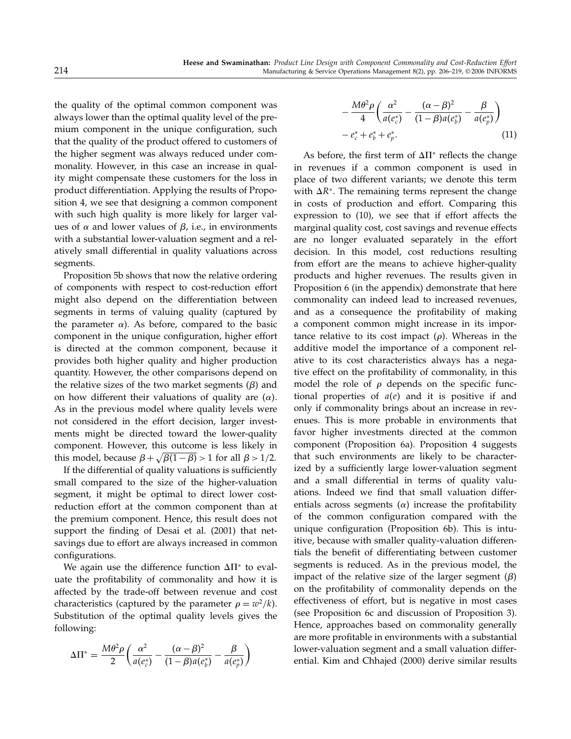the quality of the optimal common component was always lower than the optimal quality level of the premium component in the unique configuration, such that the quality of the product offered to customers of the higher segment was always reduced under commonality. However, in this case an increase in quality might compensate these customers for the loss in product differentiation. Applying the results of Proposition 4, we see that designing a common component with such high quality is more likely for larger values of  $\alpha$  and lower values of  $\beta$ , i.e., in environments with a substantial lower-valuation segment and a relatively small differential in quality valuations across segments.

Proposition 5b shows that now the relative ordering of components with respect to cost-reduction effort might also depend on the differentiation between segments in terms of valuing quality (captured by the parameter  $\alpha$ ). As before, compared to the basic component in the unique configuration, higher effort is directed at the common component, because it provides both higher quality and higher production quantity. However, the other comparisons depend on the relative sizes of the two market segments  $(\beta)$  and on how different their valuations of quality are  $(\alpha)$ . As in the previous model where quality levels were not considered in the effort decision, larger investments might be directed toward the lower-quality component. However, this outcome is less likely in this model, because  $\beta + \sqrt{\beta(1-\beta)} > 1$  for all  $\beta > 1/2$ .

If the differential of quality valuations is sufficiently small compared to the size of the higher-valuation segment, it might be optimal to direct lower costreduction effort at the common component than at the premium component. Hence, this result does not support the finding of Desai et al. (2001) that netsavings due to effort are always increased in common configurations.

We again use the difference function  $\Delta \Pi^*$  to evaluate the profitability of commonality and how it is affected by the trade-off between revenue and cost characteristics (captured by the parameter  $\rho = w^2/k$ ). Substitution of the optimal quality levels gives the following:

$$
\Delta \Pi^* = \frac{M\theta^2 \rho}{2} \left( \frac{\alpha^2}{a(e_c^*)} - \frac{(\alpha - \beta)^2}{(1 - \beta)a(e_b^*)} - \frac{\beta}{a(e_p^*)} \right)
$$

$$
-\frac{M\theta^2 \rho}{4} \left( \frac{\alpha^2}{a(e_c^*)} - \frac{(\alpha - \beta)^2}{(1 - \beta)a(e_b^*)} - \frac{\beta}{a(e_p^*)} \right) - e_c^* + e_b^* + e_p^*.
$$
\n(11)

As before, the first term of  $\Delta \Pi^*$  reflects the change in revenues if a common component is used in place of two different variants; we denote this term with  $\Delta R^*$ . The remaining terms represent the change in costs of production and effort. Comparing this expression to (10), we see that if effort affects the marginal quality cost, cost savings and revenue effects are no longer evaluated separately in the effort decision. In this model, cost reductions resulting from effort are the means to achieve higher-quality products and higher revenues. The results given in Proposition 6 (in the appendix) demonstrate that here commonality can indeed lead to increased revenues, and as a consequence the profitability of making a component common might increase in its importance relative to its cost impact  $(\rho)$ . Whereas in the additive model the importance of a component relative to its cost characteristics always has a negative effect on the profitability of commonality, in this model the role of  $\rho$  depends on the specific functional properties of  $a(e)$  and it is positive if and only if commonality brings about an increase in revenues. This is more probable in environments that favor higher investments directed at the common component (Proposition 6a). Proposition 4 suggests that such environments are likely to be characterized by a sufficiently large lower-valuation segment and a small differential in terms of quality valuations. Indeed we find that small valuation differentials across segments  $\alpha$  increase the profitability of the common configuration compared with the unique configuration (Proposition 6b). This is intuitive, because with smaller quality-valuation differentials the benefit of differentiating between customer segments is reduced. As in the previous model, the impact of the relative size of the larger segment  $(\beta)$ on the profitability of commonality depends on the effectiveness of effort, but is negative in most cases (see Proposition 6c and discussion of Proposition 3). Hence, approaches based on commonality generally are more profitable in environments with a substantial lower-valuation segment and a small valuation differential. Kim and Chhajed (2000) derive similar results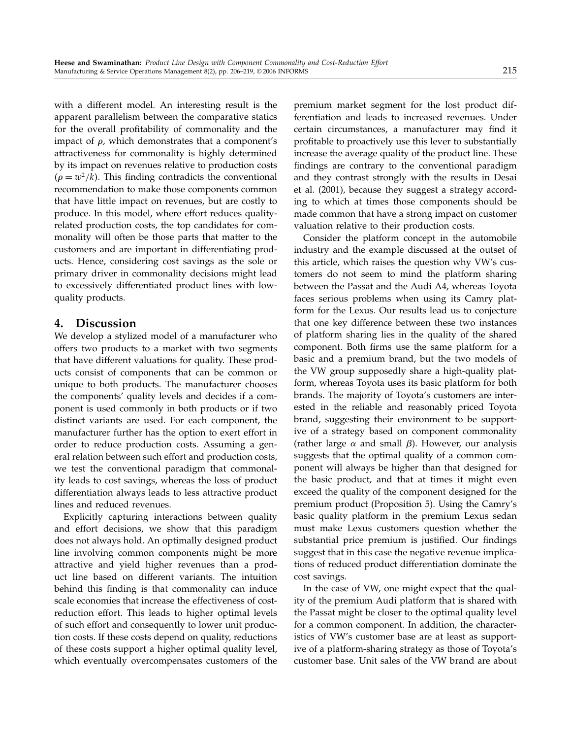with a different model. An interesting result is the apparent parallelism between the comparative statics for the overall profitability of commonality and the impact of  $\rho$ , which demonstrates that a component's attractiveness for commonality is highly determined by its impact on revenues relative to production costs  $(\rho = w^2/k)$ . This finding contradicts the conventional recommendation to make those components common that have little impact on revenues, but are costly to produce. In this model, where effort reduces qualityrelated production costs, the top candidates for commonality will often be those parts that matter to the customers and are important in differentiating products. Hence, considering cost savings as the sole or primary driver in commonality decisions might lead to excessively differentiated product lines with lowquality products.

## 4. Discussion

We develop a stylized model of a manufacturer who offers two products to a market with two segments that have different valuations for quality. These products consist of components that can be common or unique to both products. The manufacturer chooses the components' quality levels and decides if a component is used commonly in both products or if two distinct variants are used. For each component, the manufacturer further has the option to exert effort in order to reduce production costs. Assuming a general relation between such effort and production costs, we test the conventional paradigm that commonality leads to cost savings, whereas the loss of product differentiation always leads to less attractive product lines and reduced revenues.

Explicitly capturing interactions between quality and effort decisions, we show that this paradigm does not always hold. An optimally designed product line involving common components might be more attractive and yield higher revenues than a product line based on different variants. The intuition behind this finding is that commonality can induce scale economies that increase the effectiveness of costreduction effort. This leads to higher optimal levels of such effort and consequently to lower unit production costs. If these costs depend on quality, reductions of these costs support a higher optimal quality level, which eventually overcompensates customers of the

premium market segment for the lost product differentiation and leads to increased revenues. Under certain circumstances, a manufacturer may find it profitable to proactively use this lever to substantially increase the average quality of the product line. These findings are contrary to the conventional paradigm and they contrast strongly with the results in Desai et al. (2001), because they suggest a strategy according to which at times those components should be made common that have a strong impact on customer valuation relative to their production costs.

Consider the platform concept in the automobile industry and the example discussed at the outset of this article, which raises the question why VW's customers do not seem to mind the platform sharing between the Passat and the Audi A4, whereas Toyota faces serious problems when using its Camry platform for the Lexus. Our results lead us to conjecture that one key difference between these two instances of platform sharing lies in the quality of the shared component. Both firms use the same platform for a basic and a premium brand, but the two models of the VW group supposedly share a high-quality platform, whereas Toyota uses its basic platform for both brands. The majority of Toyota's customers are interested in the reliable and reasonably priced Toyota brand, suggesting their environment to be supportive of a strategy based on component commonality (rather large  $\alpha$  and small  $\beta$ ). However, our analysis suggests that the optimal quality of a common component will always be higher than that designed for the basic product, and that at times it might even exceed the quality of the component designed for the premium product (Proposition 5). Using the Camry's basic quality platform in the premium Lexus sedan must make Lexus customers question whether the substantial price premium is justified. Our findings suggest that in this case the negative revenue implications of reduced product differentiation dominate the cost savings.

In the case of VW, one might expect that the quality of the premium Audi platform that is shared with the Passat might be closer to the optimal quality level for a common component. In addition, the characteristics of VW's customer base are at least as supportive of a platform-sharing strategy as those of Toyota's customer base. Unit sales of the VW brand are about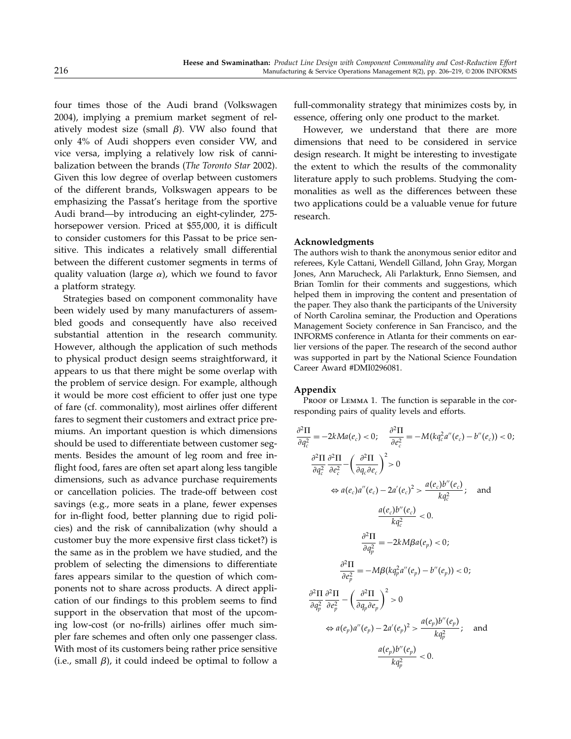four times those of the Audi brand (Volkswagen 2004), implying a premium market segment of relatively modest size (small  $\beta$ ). VW also found that only 4% of Audi shoppers even consider VW, and vice versa, implying a relatively low risk of cannibalization between the brands (The Toronto Star 2002). Given this low degree of overlap between customers of the different brands, Volkswagen appears to be emphasizing the Passat's heritage from the sportive Audi brand—by introducing an eight-cylinder, 275 horsepower version. Priced at \$55,000, it is difficult to consider customers for this Passat to be price sensitive. This indicates a relatively small differential between the different customer segments in terms of quality valuation (large  $\alpha$ ), which we found to favor a platform strategy.

Strategies based on component commonality have been widely used by many manufacturers of assembled goods and consequently have also received substantial attention in the research community. However, although the application of such methods to physical product design seems straightforward, it appears to us that there might be some overlap with the problem of service design. For example, although it would be more cost efficient to offer just one type of fare (cf. commonality), most airlines offer different fares to segment their customers and extract price premiums. An important question is which dimensions should be used to differentiate between customer segments. Besides the amount of leg room and free inflight food, fares are often set apart along less tangible dimensions, such as advance purchase requirements or cancellation policies. The trade-off between cost savings (e.g., more seats in a plane, fewer expenses for in-flight food, better planning due to rigid policies) and the risk of cannibalization (why should a customer buy the more expensive first class ticket?) is the same as in the problem we have studied, and the problem of selecting the dimensions to differentiate fares appears similar to the question of which components not to share across products. A direct application of our findings to this problem seems to find support in the observation that most of the upcoming low-cost (or no-frills) airlines offer much simpler fare schemes and often only one passenger class. With most of its customers being rather price sensitive (i.e., small  $\beta$ ), it could indeed be optimal to follow a

full-commonality strategy that minimizes costs by, in essence, offering only one product to the market.

However, we understand that there are more dimensions that need to be considered in service design research. It might be interesting to investigate the extent to which the results of the commonality literature apply to such problems. Studying the commonalities as well as the differences between these two applications could be a valuable venue for future research.

#### Acknowledgments

The authors wish to thank the anonymous senior editor and referees, Kyle Cattani, Wendell Gilland, John Gray, Morgan Jones, Ann Marucheck, Ali Parlakturk, Enno Siemsen, and Brian Tomlin for their comments and suggestions, which helped them in improving the content and presentation of the paper. They also thank the participants of the University of North Carolina seminar, the Production and Operations Management Society conference in San Francisco, and the INFORMS conference in Atlanta for their comments on earlier versions of the paper. The research of the second author was supported in part by the National Science Foundation Career Award #DMI0296081.

#### Appendix

PROOF OF LEMMA 1. The function is separable in the corresponding pairs of quality levels and efforts.

$$
\frac{\partial^2 \Pi}{\partial q_c^2} = -2kMa(e_c) < 0; \quad \frac{\partial^2 \Pi}{\partial e_c^2} = -M(kq_c^2 a''(e_c) - b''(e_c)) < 0;
$$
\n
$$
\frac{\partial^2 \Pi}{\partial q_c^2} \frac{\partial^2 \Pi}{\partial e_c^2} - \left(\frac{\partial^2 \Pi}{\partial q_c \partial e_c}\right)^2 > 0
$$
\n
$$
\Leftrightarrow a(e_c)a''(e_c) - 2a'(e_c)^2 > \frac{a(e_c)b''(e_c)}{kq_c^2}; \quad \text{and}
$$
\n
$$
\frac{a(e_c)b''(e_c)}{kq_c^2} < 0.
$$
\n
$$
\frac{\partial^2 \Pi}{\partial q_p^2} = -2kM\beta a(e_p) < 0;
$$
\n
$$
\frac{\partial^2 \Pi}{\partial e_p^2} = -M\beta(kq_p^2a''(e_p) - b''(e_p)) < 0;
$$
\n
$$
\frac{\partial^2 \Pi}{\partial q_p^2} \frac{\partial^2 \Pi}{\partial e_p^2} - \left(\frac{\partial^2 \Pi}{\partial q_p \partial e_p}\right)^2 > 0
$$
\n
$$
\Leftrightarrow a(e_p)a''(e_p) - 2a'(e_p)^2 > \frac{a(e_p)b''(e_p)}{kq_p^2}; \quad \text{and}
$$
\n
$$
\frac{a(e_p)b''(e_p)}{kq_p^2} < 0.
$$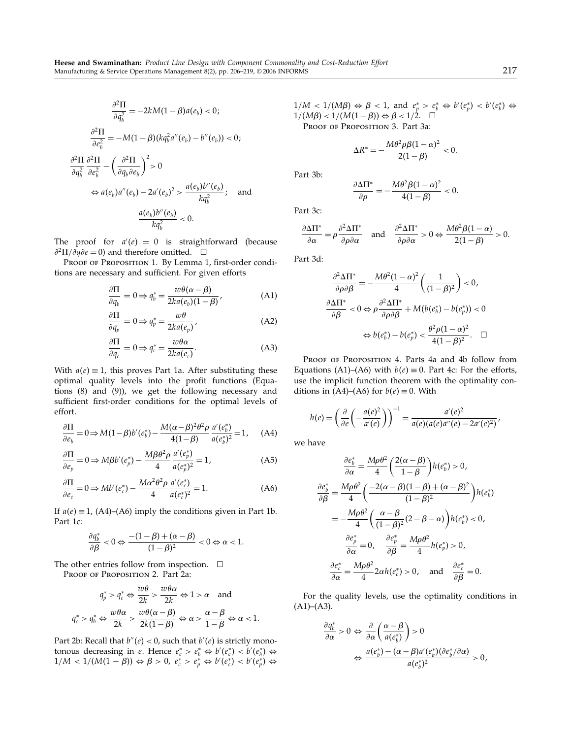$$
\frac{\partial^2 \Pi}{\partial q_b^2} = -2kM(1 - \beta)a(e_b) < 0;
$$
\n
$$
\frac{\partial^2 \Pi}{\partial e_b^2} = -M(1 - \beta)(kq_b^2 a''(e_b) - b''(e_b)) < 0;
$$
\n
$$
\frac{\partial^2 \Pi}{\partial q_b^2} \frac{\partial^2 \Pi}{\partial e_b^2} - \left(\frac{\partial^2 \Pi}{\partial q_b \partial e_b}\right)^2 > 0
$$
\n
$$
\Leftrightarrow a(e_b)a''(e_b) - 2a'(e_b)^2 > \frac{a(e_b)b''(e_b)}{kq_b^2}; \quad \text{and}
$$
\n
$$
\frac{a(e_b)b''(e_b)}{kq_b^2} < 0.
$$

The proof for  $a'(e) = 0$  is straightforward (because  $\partial^2 \Pi / \partial q \partial e = 0$  and therefore omitted.  $\Box$ 

PROOF OF PROPOSITION 1. By Lemma 1, first-order conditions are necessary and sufficient. For given efforts

$$
\frac{\partial \Pi}{\partial q_b} = 0 \Rightarrow q_b^* = \frac{w\theta(\alpha - \beta)}{2ka(e_b)(1 - \beta)},
$$
(A1)

$$
\frac{\partial \Pi}{\partial q_p} = 0 \Rightarrow q_p^* = \frac{w\theta}{2ka(e_p)},
$$
\n(A2)

$$
\frac{\partial \Pi}{\partial q_c} = 0 \Rightarrow q_c^* = \frac{w\theta\alpha}{2ka(e_c)}.
$$
 (A3)

With  $a(e) \equiv 1$ , this proves Part 1a. After substituting these optimal quality levels into the profit functions (Equations (8) and (9)), we get the following necessary and sufficient first-order conditions for the optimal levels of effort.

$$
\frac{\partial \Pi}{\partial e_b} = 0 \Rightarrow M(1 - \beta)b'(e_b^*) - \frac{M(\alpha - \beta)^2 \theta^2 \rho}{4(1 - \beta)} \frac{a'(e_b^*)}{a(e_b^*)^2} = 1, \quad (A4)
$$

$$
\frac{\partial \Pi}{\partial e_p} = 0 \Rightarrow M\beta b'(e_p^*) - \frac{M\beta \theta^2 \rho}{4} \frac{a'(e_p^*)}{a(e_p^*)^2} = 1,
$$
\n(A5)

$$
\frac{\partial \Pi}{\partial e_c} = 0 \Rightarrow Mb'(e_c^*) - \frac{M\alpha^2 \theta^2 \rho}{4} \frac{a'(e_c^*)}{a(e_c^*)^2} = 1.
$$
 (A6)

If  $a(e) \equiv 1$ , (A4)–(A6) imply the conditions given in Part 1b. Part 1c:

$$
\frac{\partial q_b^*}{\partial \beta} < 0 \Leftrightarrow \frac{-(1-\beta) + (\alpha - \beta)}{(1-\beta)^2} < 0 \Leftrightarrow \alpha < 1.
$$

The other entries follow from inspection.  $\Box$ 

PROOF OF PROPOSITION 2. Part 2a:

$$
q_p^* > q_c^* \Leftrightarrow \frac{w\theta}{2k} > \frac{w\theta\alpha}{2k} \Leftrightarrow 1 > \alpha \quad \text{and}
$$

$$
q_c^* > q_b^* \Leftrightarrow \frac{w\theta\alpha}{2k} > \frac{w\theta(\alpha - \beta)}{2k(1 - \beta)} \Leftrightarrow \alpha > \frac{\alpha - \beta}{1 - \beta} \Leftrightarrow \alpha < 1.
$$

Part 2b: Recall that  $b''(e) < 0$ , such that  $b'(e)$  is strictly monotonous decreasing in  $e$ . Hence  $e_c^* > e_b^* \Leftrightarrow b'(e_c^*) < b'(e_b^*) \Leftrightarrow$ 1/M < 1/(M(1 − β))  $\Leftrightarrow$  β > 0,  $e_c^* > e_p^* \Leftrightarrow b'(e_c^*) < b'(e_p^*) \Leftrightarrow$ 

 $1/M < 1/(M\beta) \Leftrightarrow \beta < 1$ , and  $e_p^* > e_b^* \Leftrightarrow b'(e_p^*) < b'(e_b^*) \Leftrightarrow$  $1/(M\beta) < 1/(M(1-\beta)) \Leftrightarrow \beta < 1/2. \quad \Box$ 

PROOF OF PROPOSITION 3. Part 3a:

$$
\Delta R^* = -\frac{M\theta^2 \rho \beta (1-\alpha)^2}{2(1-\beta)} < 0.
$$

Part 3b:

$$
\frac{\partial \Delta \Pi^*}{\partial \rho} = -\frac{M\theta^2 \beta (1-\alpha)^2}{4(1-\beta)} < 0.
$$

Part 3c:

$$
\frac{\partial \Delta \Pi^*}{\partial \alpha} = \rho \frac{\partial^2 \Delta \Pi^*}{\partial \rho \partial \alpha} \quad \text{and} \quad \frac{\partial^2 \Delta \Pi^*}{\partial \rho \partial \alpha} > 0 \Leftrightarrow \frac{M \theta^2 \beta (1 - \alpha)}{2(1 - \beta)} > 0.
$$

Part 3d:

$$
\frac{\partial^2 \Delta \Pi^*}{\partial \rho \partial \beta} = -\frac{M\theta^2 (1-\alpha)^2}{4} \left(\frac{1}{(1-\beta)^2}\right) < 0,
$$
\n
$$
\frac{\partial \Delta \Pi^*}{\partial \beta} < 0 \Leftrightarrow \rho \frac{\partial^2 \Delta \Pi^*}{\partial \rho \partial \beta} + M(b(e_b^*) - b(e_p^*)) < 0
$$
\n
$$
\Leftrightarrow b(e_b^*) - b(e_p^*) < \frac{\theta^2 \rho (1-\alpha)^2}{4(1-\beta)^2}.\quad \Box
$$

PROOF OF PROPOSITION 4. Parts 4a and 4b follow from Equations (A1)–(A6) with  $b(e) \equiv 0$ . Part 4c: For the efforts, use the implicit function theorem with the optimality conditions in (A4)–(A6) for  $b(e) \equiv 0$ . With

$$
h(e) = \left(\frac{\partial}{\partial e}\left(-\frac{a(e)^2}{a'(e)}\right)\right)^{-1} = \frac{a'(e)^2}{a(e)(a(e)a''(e) - 2a'(e)^2)},
$$

we have

$$
\frac{\partial e_b^*}{\partial \alpha} = \frac{M \rho \theta^2}{4} \left( \frac{2(\alpha - \beta)}{1 - \beta} \right) h(e_b^*) > 0,
$$
  

$$
\frac{\partial e_b^*}{\partial \beta} = \frac{M \rho \theta^2}{4} \left( \frac{-2(\alpha - \beta)(1 - \beta) + (\alpha - \beta)^2}{(1 - \beta)^2} \right) h(e_b^*)
$$

$$
= -\frac{M \rho \theta^2}{4} \left( \frac{\alpha - \beta}{(1 - \beta)^2} (2 - \beta - \alpha) \right) h(e_b^*) < 0,
$$

$$
\frac{\partial e_b^*}{\partial \alpha} = 0, \quad \frac{\partial e_b^*}{\partial \beta} = \frac{M \rho \theta^2}{4} h(e_b^*) > 0,
$$

$$
\frac{\partial e_c^*}{\partial \alpha} = \frac{M \rho \theta^2}{4} 2\alpha h(e_c^*) > 0, \quad \text{and} \quad \frac{\partial e_c^*}{\partial \beta} = 0.
$$

For the quality levels, use the optimality conditions in  $(A1)–(A3)$ .

$$
\frac{\partial q_b^*}{\partial \alpha} > 0 \Leftrightarrow \frac{\partial}{\partial \alpha} \left( \frac{\alpha - \beta}{a(e_b^*)} \right) > 0
$$

$$
\Leftrightarrow \frac{a(e_b^*) - (\alpha - \beta)a'(e_b^*)(\partial e_b^*)/\partial \alpha)}{a(e_b^*)^2} > 0,
$$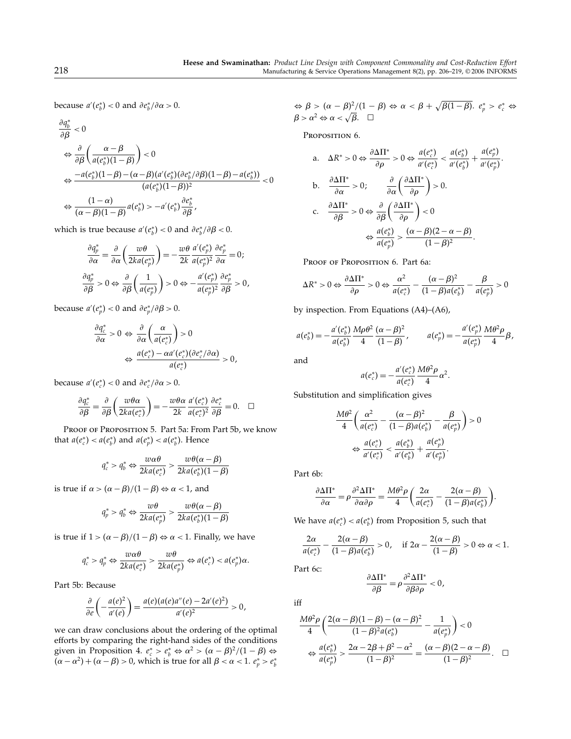because  $a'(e_b^*)$  < 0 and  $\partial e_b^* / \partial \alpha$  > 0.

$$
\frac{\partial q_b^*}{\partial \beta} < 0
$$
\n
$$
\Leftrightarrow \frac{\partial}{\partial \beta} \left( \frac{\alpha - \beta}{a(e_b^*)(1 - \beta)} \right) < 0
$$
\n
$$
\Leftrightarrow \frac{-a(e_b^*)(1 - \beta) - (\alpha - \beta)(a'(e_b^*)(\partial e_b^*/\partial \beta)(1 - \beta) - a(e_b^*))}{(a(e_b^*)(1 - \beta))^2} < 0
$$
\n
$$
\Leftrightarrow \frac{(1 - \alpha)}{(\alpha - \beta)(1 - \beta)} a(e_b^*) > -a'(e_b^*) \frac{\partial e_b^*}{\partial \beta},
$$

which is true because  $a'(e_b^*) < 0$  and  $\partial e_b^* / \partial \beta < 0$ .

$$
\frac{\partial q_p^*}{\partial \alpha} = \frac{\partial}{\partial \alpha} \left( \frac{w\theta}{2ka(e_p^*)} \right) = -\frac{w\theta}{2k} \frac{a'(e_p^*)}{a(e_p^*)^2} \frac{\partial e_p^*}{\partial \alpha} = 0; \n\frac{\partial q_p^*}{\partial \beta} > 0 \Leftrightarrow \frac{\partial}{\partial \beta} \left( \frac{1}{a(e_p^*)} \right) > 0 \Leftrightarrow -\frac{a'(e_p^*)}{a(e_p^*)^2} \frac{\partial e_p^*}{\partial \beta} > 0,
$$

because  $a'(e_p^*) < 0$  and  $\partial e_p^* / \partial \beta > 0$ .

$$
\frac{\partial q_c^*}{\partial \alpha} > 0 \Leftrightarrow \frac{\partial}{\partial \alpha} \left( \frac{\alpha}{a(e_c^*)} \right) > 0
$$

$$
\Leftrightarrow \frac{a(e_c^*) - \alpha a'(e_c^*)(\partial e_c^*) \partial \alpha)}{a(e_c^*)} > 0,
$$

because  $a'(e_c^*)$  < 0 and  $\partial e_c^* / \partial \alpha > 0$ .

$$
\frac{\partial q_c^*}{\partial \beta} = \frac{\partial}{\partial \beta} \left( \frac{w \theta \alpha}{2ka(e_c^*)} \right) = -\frac{w \theta \alpha}{2k} \frac{a'(e_c^*)}{a(e_c^*)^2} \frac{\partial e_c^*}{\partial \beta} = 0. \quad \Box
$$

PROOF OF PROPOSITION 5. Part 5a: From Part 5b, we know that  $a(e_c^*) < a(e_b^*)$  and  $a(e_p^*) < a(e_b^*)$ . Hence

$$
q_c^* > q_b^* \Leftrightarrow \frac{w\alpha\theta}{2ka(e_c^*)} > \frac{w\theta(\alpha-\beta)}{2ka(e_b^*)(1-\beta)}
$$

is true if  $\alpha > (\alpha - \beta)/(1 - \beta) \Leftrightarrow \alpha < 1$ , and

$$
q_p^* > q_b^* \Leftrightarrow \frac{w\theta}{2ka(e_p^*)} > \frac{w\theta(\alpha - \beta)}{2ka(e_b^*)(1 - \beta)}
$$

is true if  $1 > (\alpha - \beta)/(1 - \beta)$  ⇔  $\alpha$  < 1. Finally, we have

$$
q_c^* > q_p^* \Leftrightarrow \frac{w\alpha\theta}{2ka(e_c^*)} > \frac{w\theta}{2ka(e_p^*)} \Leftrightarrow a(e_c^*) < a(e_p^*)\alpha.
$$

Part 5b: Because

$$
\frac{\partial}{\partial e}\left(-\frac{a(e)^2}{a'(e)}\right)=\frac{a(e)(a(e)a''(e)-2a'(e)^2)}{a'(e)^2}>0,
$$

we can draw conclusions about the ordering of the optimal efforts by comparing the right-hand sides of the conditions given in Proposition 4.  $e_c^* > e_b^* \Leftrightarrow \alpha^2 > (\alpha - \beta)^2/(1 - \beta) \Leftrightarrow$  $(\alpha - \alpha^2) + (\alpha - \beta) > 0$ , which is true for all  $\beta < \alpha < 1$ .  $e_p^* > e_b^*$ 

 $\Rightarrow \beta > (\alpha - \beta)^2/(1 - \beta) \Leftrightarrow \alpha < \beta + \sqrt{\beta(1 - \beta)}.$   $e_p^* > e_c^* \Leftrightarrow$  $\beta > \alpha^2 \Leftrightarrow \alpha < \sqrt{\beta}. \quad \Box$ 

Proposition 6.

a. 
$$
\Delta R^* > 0 \Leftrightarrow \frac{\partial \Delta \Pi^*}{\partial \rho} > 0 \Leftrightarrow \frac{a(e_{c}^*)}{a'(e_{c}^*)} < \frac{a(e_{b}^*)}{a'(e_{b}^*)} + \frac{a(e_{p}^*)}{a'(e_{p}^*)}
$$
.  
\nb.  $\frac{\partial \Delta \Pi^*}{\partial \alpha} > 0$ ;  $\frac{\partial}{\partial \alpha} \left(\frac{\partial \Delta \Pi^*}{\partial \rho}\right) > 0$ .  
\nc.  $\frac{\partial \Delta \Pi^*}{\partial \beta} > 0 \Leftrightarrow \frac{\partial}{\partial \beta} \left(\frac{\partial \Delta \Pi^*}{\partial \rho}\right) < 0$   
\n $\Leftrightarrow \frac{a(e_{b}^*)}{a(e_{p}^*)} > \frac{(\alpha - \beta)(2 - \alpha - \beta)}{(1 - \beta)^2}$ .

PROOF OF PROPOSITION 6. Part 6a:

$$
\Delta R^* > 0 \Leftrightarrow \frac{\partial \Delta \Pi^*}{\partial \rho} > 0 \Leftrightarrow \frac{\alpha^2}{a(e_c^*)} - \frac{(\alpha - \beta)^2}{(1 - \beta)a(e_b^*)} - \frac{\beta}{a(e_p^*)} > 0
$$

by inspection. From Equations (A4)–(A6),

$$
a(e_p^*) = -\frac{a'(e_p^*)}{a(e_p^*)} \frac{M \rho \theta^2}{4} \frac{(\alpha - \beta)^2}{(1 - \beta)}, \qquad a(e_p^*) = -\frac{a'(e_p^*)}{a(e_p^*)} \frac{M \theta^2 \rho}{4} \beta,
$$

and

$$
a(e_c^*) = -\frac{a'(e_c^*)}{a(e_c^*)}\frac{M\theta^2\rho}{4}\alpha^2.
$$

Substitution and simplification gives

$$
\frac{M\theta^2}{4} \left( \frac{\alpha^2}{a(e_c^*)} - \frac{(\alpha - \beta)^2}{(1 - \beta)a(e_b^*)} - \frac{\beta}{a(e_p^*)} \right) > 0
$$

$$
\Leftrightarrow \frac{a(e_c^*)}{a'(e_c^*)} < \frac{a(e_b^*)}{a'(e_b^*)} + \frac{a(e_p^*)}{a'(e_p^*)}.
$$

Part 6b:

$$
\frac{\partial \Delta \Pi^*}{\partial \alpha} = \rho \frac{\partial^2 \Delta \Pi^*}{\partial \alpha \partial \rho} = \frac{M \theta^2 \rho}{4} \left( \frac{2\alpha}{a(e_c^*)} - \frac{2(\alpha - \beta)}{(1 - \beta)a(e_b^*)} \right)
$$

.

We have  $a(e_c^*) < a(e_b^*)$  from Proposition 5, such that

$$
\frac{2\alpha}{a(e_c^*)}-\frac{2(\alpha-\beta)}{(1-\beta)a(e_b^*)}>0,\quad\text{if }2\alpha-\frac{2(\alpha-\beta)}{(1-\beta)}>0\Leftrightarrow\alpha<1.
$$

Part 6c:

$$
\frac{\partial \Delta \Pi^*}{\partial \beta} = \rho \frac{\partial^2 \Delta \Pi^*}{\partial \beta \partial \rho} < 0,
$$

iff

$$
\frac{M\theta^2 \rho}{4} \left( \frac{2(\alpha - \beta)(1 - \beta) - (\alpha - \beta)^2}{(1 - \beta)^2 a(e_b^*)} - \frac{1}{a(e_p^*)} \right) < 0
$$
  

$$
\Leftrightarrow \frac{a(e_b^*)}{a(e_p^*)} > \frac{2\alpha - 2\beta + \beta^2 - \alpha^2}{(1 - \beta)^2} = \frac{(\alpha - \beta)(2 - \alpha - \beta)}{(1 - \beta)^2}.
$$